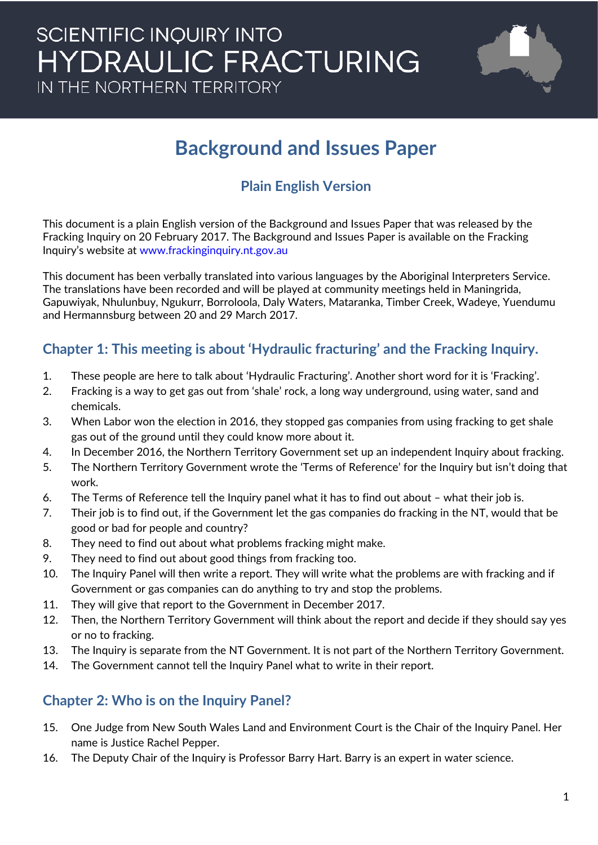### **SCIENTIFIC INQUIRY INTO HYDRAULIC FRACTURING** IN THE NORTHERN TERRITORY



### **Background and Issues Paper**

### **Plain English Version**

This document is a plain English version of the Background and Issues Paper that was released by the Fracking Inquiry on 20 February 2017. The Background and Issues Paper is available on the Fracking Inquiry's website at [www.frackinginquiry.nt.gov.au](http://www.frackinginquiry.nt.gov.au/)

This document has been verbally translated into various languages by the Aboriginal Interpreters Service. The translations have been recorded and will be played at community meetings held in Maningrida, Gapuwiyak, Nhulunbuy, Ngukurr, Borroloola, Daly Waters, Mataranka, Timber Creek, Wadeye, Yuendumu and Hermannsburg between 20 and 29 March 2017.

#### **Chapter 1: This meeting is about 'Hydraulic fracturing' and the Fracking Inquiry.**

- 1. These people are here to talk about 'Hydraulic Fracturing'. Another short word for it is 'Fracking'.
- 2. Fracking is a way to get gas out from 'shale' rock, a long way underground, using water, sand and chemicals.
- 3. When Labor won the election in 2016, they stopped gas companies from using fracking to get shale gas out of the ground until they could know more about it.
- 4. In December 2016, the Northern Territory Government set up an independent Inquiry about fracking.
- 5. The Northern Territory Government wrote the 'Terms of Reference' for the Inquiry but isn't doing that work.
- 6. The Terms of Reference tell the Inquiry panel what it has to find out about what their job is.
- 7. Their job is to find out, if the Government let the gas companies do fracking in the NT, would that be good or bad for people and country?
- 8. They need to find out about what problems fracking might make.
- 9. They need to find out about good things from fracking too.
- 10. The Inquiry Panel will then write a report. They will write what the problems are with fracking and if Government or gas companies can do anything to try and stop the problems.
- 11. They will give that report to the Government in December 2017.
- 12. Then, the Northern Territory Government will think about the report and decide if they should say yes or no to fracking.
- 13. The Inquiry is separate from the NT Government. It is not part of the Northern Territory Government.
- 14. The Government cannot tell the Inquiry Panel what to write in their report.

#### **Chapter 2: Who is on the Inquiry Panel?**

- 15. One Judge from New South Wales Land and Environment Court is the Chair of the Inquiry Panel. Her name is Justice Rachel Pepper.
- 16. The Deputy Chair of the Inquiry is Professor Barry Hart. Barry is an expert in water science.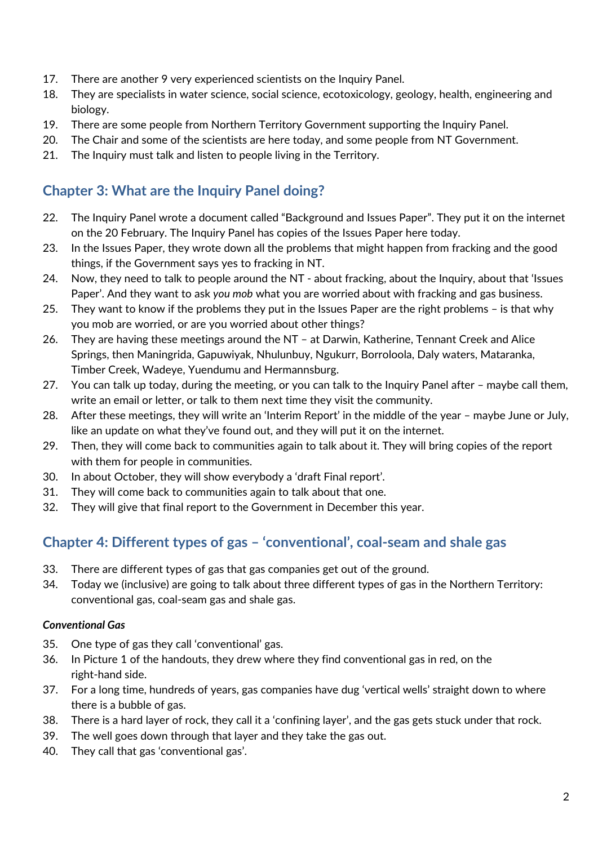- 17. There are another 9 very experienced scientists on the Inquiry Panel.
- 18. They are specialists in water science, social science, ecotoxicology, geology, health, engineering and biology.
- 19. There are some people from Northern Territory Government supporting the Inquiry Panel.
- 20. The Chair and some of the scientists are here today, and some people from NT Government.
- 21. The Inquiry must talk and listen to people living in the Territory.

#### **Chapter 3: What are the Inquiry Panel doing?**

- 22. The Inquiry Panel wrote a document called "Background and Issues Paper". They put it on the internet on the 20 February. The Inquiry Panel has copies of the Issues Paper here today.
- 23. In the Issues Paper, they wrote down all the problems that might happen from fracking and the good things, if the Government says yes to fracking in NT.
- 24. Now, they need to talk to people around the NT about fracking, about the Inquiry, about that 'Issues Paper'. And they want to ask *you mob* what you are worried about with fracking and gas business.
- 25. They want to know if the problems they put in the Issues Paper are the right problems is that why you mob are worried, or are you worried about other things?
- 26. They are having these meetings around the NT at Darwin, Katherine, Tennant Creek and Alice Springs, then Maningrida, Gapuwiyak, Nhulunbuy, Ngukurr, Borroloola, Daly waters, Mataranka, Timber Creek, Wadeye, Yuendumu and Hermannsburg.
- 27. You can talk up today, during the meeting, or you can talk to the Inquiry Panel after maybe call them, write an email or letter, or talk to them next time they visit the community.
- 28. After these meetings, they will write an 'Interim Report' in the middle of the year maybe June or July, like an update on what they've found out, and they will put it on the internet.
- 29. Then, they will come back to communities again to talk about it. They will bring copies of the report with them for people in communities.
- 30. In about October, they will show everybody a 'draft Final report'.
- 31. They will come back to communities again to talk about that one.
- 32. They will give that final report to the Government in December this year.

#### **Chapter 4: Different types of gas – 'conventional', coal-seam and shale gas**

- 33. There are different types of gas that gas companies get out of the ground.
- 34. Today we (inclusive) are going to talk about three different types of gas in the Northern Territory: conventional gas, coal-seam gas and shale gas.

#### *Conventional Gas*

- 35. One type of gas they call 'conventional' gas.
- 36. In Picture 1 of the handouts, they drew where they find conventional gas in red, on the right-hand side.
- 37. For a long time, hundreds of years, gas companies have dug 'vertical wells' straight down to where there is a bubble of gas.
- 38. There is a hard layer of rock, they call it a 'confining layer', and the gas gets stuck under that rock.
- 39. The well goes down through that layer and they take the gas out.
- 40. They call that gas 'conventional gas'.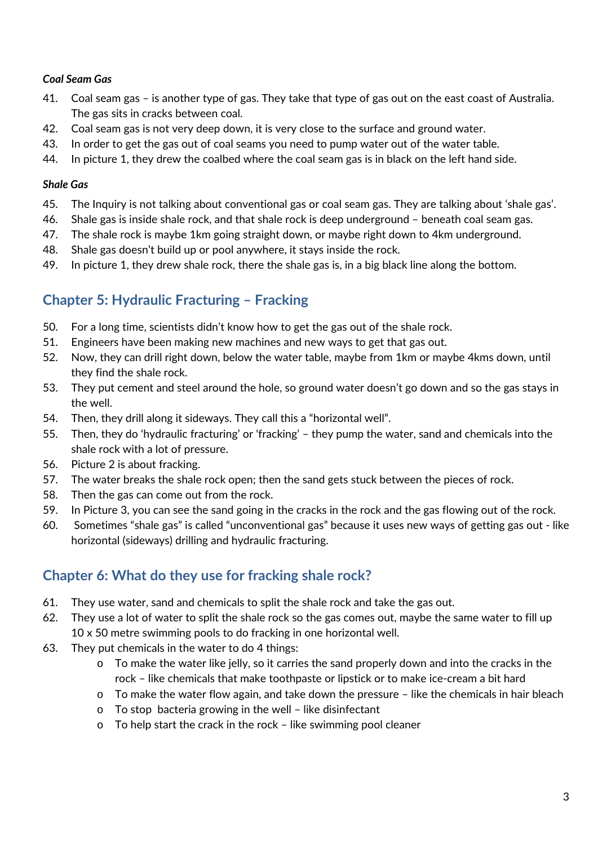#### *Coal Seam Gas*

- 41. Coal seam gas is another type of gas. They take that type of gas out on the east coast of Australia. The gas sits in cracks between coal.
- 42. Coal seam gas is not very deep down, it is very close to the surface and ground water.
- 43. In order to get the gas out of coal seams you need to pump water out of the water table.
- 44. In picture 1, they drew the coalbed where the coal seam gas is in black on the left hand side.

#### *Shale Gas*

- 45. The Inquiry is not talking about conventional gas or coal seam gas. They are talking about 'shale gas'.
- 46. Shale gas is inside shale rock, and that shale rock is deep underground beneath coal seam gas.
- 47. The shale rock is maybe 1km going straight down, or maybe right down to 4km underground.
- 48. Shale gas doesn't build up or pool anywhere, it stays inside the rock.
- 49. In picture 1, they drew shale rock, there the shale gas is, in a big black line along the bottom.

#### **Chapter 5: Hydraulic Fracturing – Fracking**

- 50. For a long time, scientists didn't know how to get the gas out of the shale rock.
- 51. Engineers have been making new machines and new ways to get that gas out.
- 52. Now, they can drill right down, below the water table, maybe from 1km or maybe 4kms down, until they find the shale rock.
- 53. They put cement and steel around the hole, so ground water doesn't go down and so the gas stays in the well.
- 54. Then, they drill along it sideways. They call this a "horizontal well".
- 55. Then, they do 'hydraulic fracturing' or 'fracking' they pump the water, sand and chemicals into the shale rock with a lot of pressure.
- 56. Picture 2 is about fracking.
- 57. The water breaks the shale rock open; then the sand gets stuck between the pieces of rock.
- 58. Then the gas can come out from the rock.
- 59. In Picture 3, you can see the sand going in the cracks in the rock and the gas flowing out of the rock.
- 60. Sometimes "shale gas" is called "unconventional gas" because it uses new ways of getting gas out like horizontal (sideways) drilling and hydraulic fracturing.

#### **Chapter 6: What do they use for fracking shale rock?**

- 61. They use water, sand and chemicals to split the shale rock and take the gas out.
- 62. They use a lot of water to split the shale rock so the gas comes out, maybe the same water to fill up 10 x 50 metre swimming pools to do fracking in one horizontal well.
- 63. They put chemicals in the water to do 4 things:
	- o To make the water like jelly, so it carries the sand properly down and into the cracks in the rock – like chemicals that make toothpaste or lipstick or to make ice-cream a bit hard
	- o To make the water flow again, and take down the pressure like the chemicals in hair bleach
	- o To stop bacteria growing in the well like disinfectant
	- o To help start the crack in the rock like swimming pool cleaner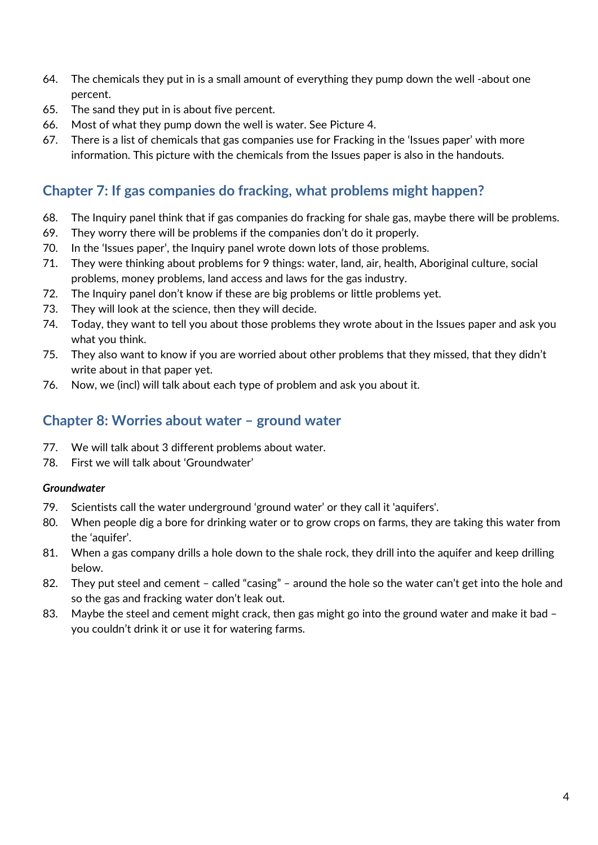- 64. The chemicals they put in is a small amount of everything they pump down the well -about one percent.
- 65. The sand they put in is about five percent.
- 66. Most of what they pump down the well is water. See Picture 4.
- 67. There is a list of chemicals that gas companies use for Fracking in the 'Issues paper' with more information. This picture with the chemicals from the Issues paper is also in the handouts.

#### **Chapter 7: If gas companies do fracking, what problems might happen?**

- 68. The Inquiry panel think that if gas companies do fracking for shale gas, maybe there will be problems.
- 69. They worry there will be problems if the companies don't do it properly.
- 70. In the 'Issues paper', the Inquiry panel wrote down lots of those problems.
- 71. They were thinking about problems for 9 things: water, land, air, health, Aboriginal culture, social problems, money problems, land access and laws for the gas industry.
- 72. The Inquiry panel don't know if these are big problems or little problems yet.
- 73. They will look at the science, then they will decide.
- 74. Today, they want to tell you about those problems they wrote about in the Issues paper and ask you what you think.
- 75. They also want to know if you are worried about other problems that they missed, that they didn't write about in that paper yet.
- 76. Now, we (incl) will talk about each type of problem and ask you about it.

#### **Chapter 8: Worries about water – ground water**

- 77. We will talk about 3 different problems about water.
- 78. First we will talk about 'Groundwater'

#### *Groundwater*

- 79. Scientists call the water underground 'ground water' or they call it 'aquifers'.
- 80. When people dig a bore for drinking water or to grow crops on farms, they are taking this water from the 'aquifer'.
- 81. When a gas company drills a hole down to the shale rock, they drill into the aquifer and keep drilling below.
- 82. They put steel and cement called "casing" around the hole so the water can't get into the hole and so the gas and fracking water don't leak out.
- 83. Maybe the steel and cement might crack, then gas might go into the ground water and make it bad you couldn't drink it or use it for watering farms.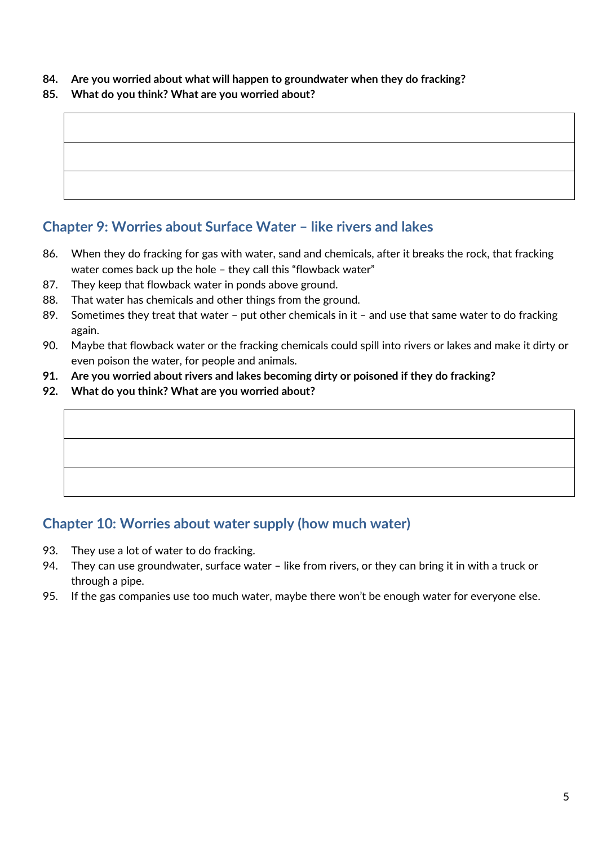#### **84. Are you worried about what will happen to groundwater when they do fracking?**

#### **85. What do you think? What are you worried about?**

#### **Chapter 9: Worries about Surface Water – like rivers and lakes**

- 86. When they do fracking for gas with water, sand and chemicals, after it breaks the rock, that fracking water comes back up the hole – they call this "flowback water"
- 87. They keep that flowback water in ponds above ground.
- 88. That water has chemicals and other things from the ground.
- 89. Sometimes they treat that water put other chemicals in it and use that same water to do fracking again.
- 90. Maybe that flowback water or the fracking chemicals could spill into rivers or lakes and make it dirty or even poison the water, for people and animals.
- **91. Are you worried about rivers and lakes becoming dirty or poisoned if they do fracking?**
- **92. What do you think? What are you worried about?**

#### **Chapter 10: Worries about water supply (how much water)**

- 93. They use a lot of water to do fracking.
- 94. They can use groundwater, surface water like from rivers, or they can bring it in with a truck or through a pipe.
- 95. If the gas companies use too much water, maybe there won't be enough water for everyone else.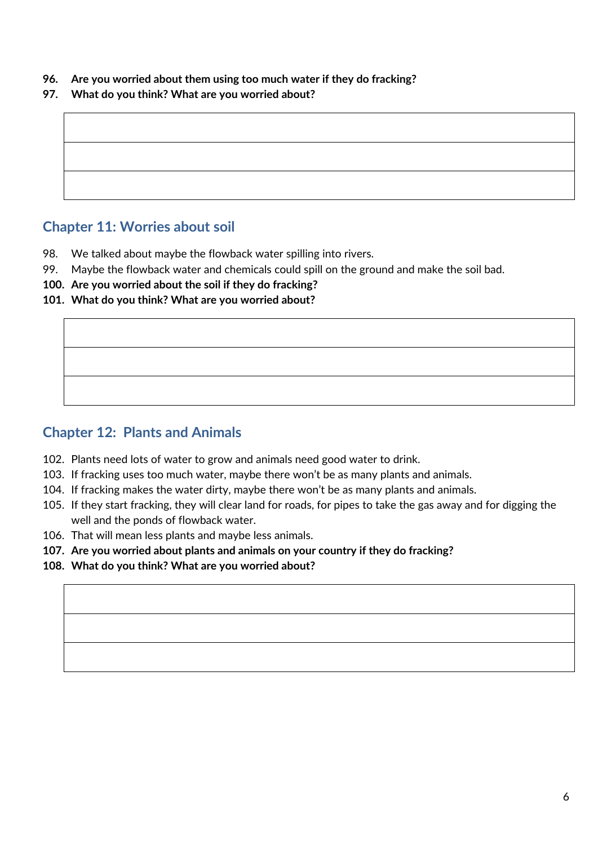- **96. Are you worried about them using too much water if they do fracking?**
- **97. What do you think? What are you worried about?**

#### **Chapter 11: Worries about soil**

- 98. We talked about maybe the flowback water spilling into rivers.
- 99. Maybe the flowback water and chemicals could spill on the ground and make the soil bad.
- **100. Are you worried about the soil if they do fracking?**
- **101. What do you think? What are you worried about?**

#### **Chapter 12: Plants and Animals**

- 102. Plants need lots of water to grow and animals need good water to drink.
- 103. If fracking uses too much water, maybe there won't be as many plants and animals.
- 104. If fracking makes the water dirty, maybe there won't be as many plants and animals.
- 105. If they start fracking, they will clear land for roads, for pipes to take the gas away and for digging the well and the ponds of flowback water.
- 106. That will mean less plants and maybe less animals.
- **107. Are you worried about plants and animals on your country if they do fracking?**
- **108. What do you think? What are you worried about?**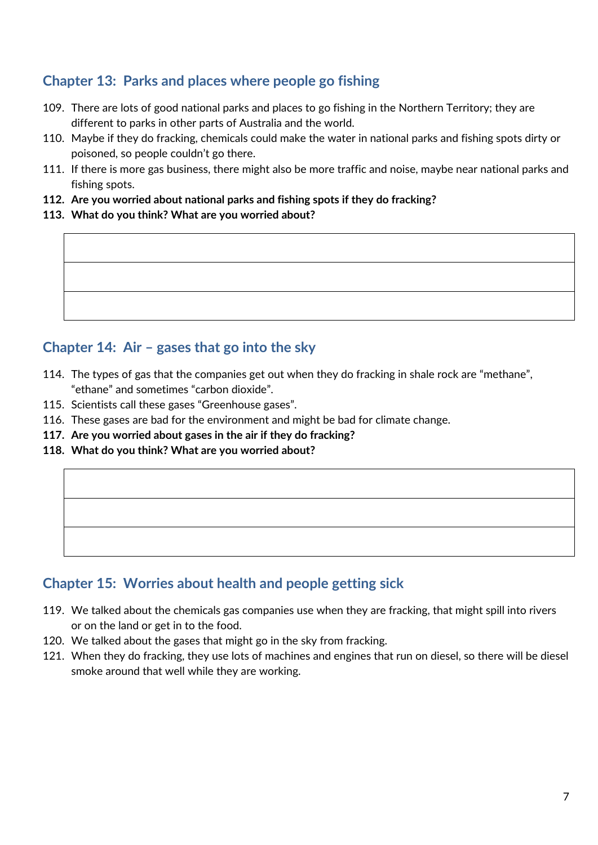#### **Chapter 13: Parks and places where people go fishing**

- 109. There are lots of good national parks and places to go fishing in the Northern Territory; they are different to parks in other parts of Australia and the world.
- 110. Maybe if they do fracking, chemicals could make the water in national parks and fishing spots dirty or poisoned, so people couldn't go there.
- 111. If there is more gas business, there might also be more traffic and noise, maybe near national parks and fishing spots.
- **112. Are you worried about national parks and fishing spots if they do fracking?**
- **113. What do you think? What are you worried about?**

#### **Chapter 14: Air – gases that go into the sky**

- 114. The types of gas that the companies get out when they do fracking in shale rock are "methane", "ethane" and sometimes "carbon dioxide".
- 115. Scientists call these gases "Greenhouse gases".
- 116. These gases are bad for the environment and might be bad for climate change.
- **117. Are you worried about gases in the air if they do fracking?**
- **118. What do you think? What are you worried about?**

#### **Chapter 15: Worries about health and people getting sick**

- 119. We talked about the chemicals gas companies use when they are fracking, that might spill into rivers or on the land or get in to the food.
- 120. We talked about the gases that might go in the sky from fracking.
- 121. When they do fracking, they use lots of machines and engines that run on diesel, so there will be diesel smoke around that well while they are working.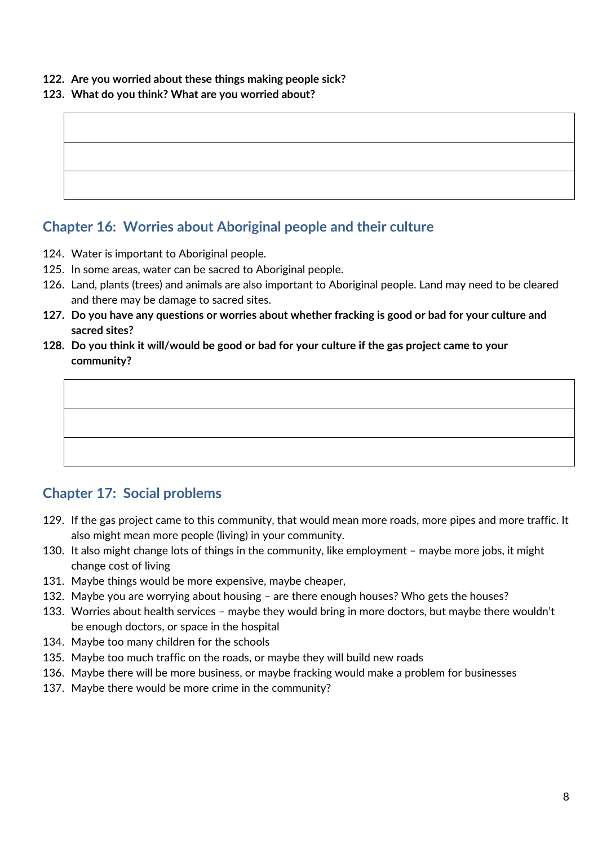**122. Are you worried about these things making people sick?**

#### **123. What do you think? What are you worried about?**

#### **Chapter 16: Worries about Aboriginal people and their culture**

- 124. Water is important to Aboriginal people.
- 125. In some areas, water can be sacred to Aboriginal people.
- 126. Land, plants (trees) and animals are also important to Aboriginal people. Land may need to be cleared and there may be damage to sacred sites.
- **127. Do you have any questions or worries about whether fracking is good or bad for your culture and sacred sites?**
- **128. Do you think it will/would be good or bad for your culture if the gas project came to your community?**



#### **Chapter 17: Social problems**

- 129. If the gas project came to this community, that would mean more roads, more pipes and more traffic. It also might mean more people (living) in your community.
- 130. It also might change lots of things in the community, like employment maybe more jobs, it might change cost of living
- 131. Maybe things would be more expensive, maybe cheaper,
- 132. Maybe you are worrying about housing are there enough houses? Who gets the houses?
- 133. Worries about health services maybe they would bring in more doctors, but maybe there wouldn't be enough doctors, or space in the hospital
- 134. Maybe too many children for the schools
- 135. Maybe too much traffic on the roads, or maybe they will build new roads
- 136. Maybe there will be more business, or maybe fracking would make a problem for businesses
- 137. Maybe there would be more crime in the community?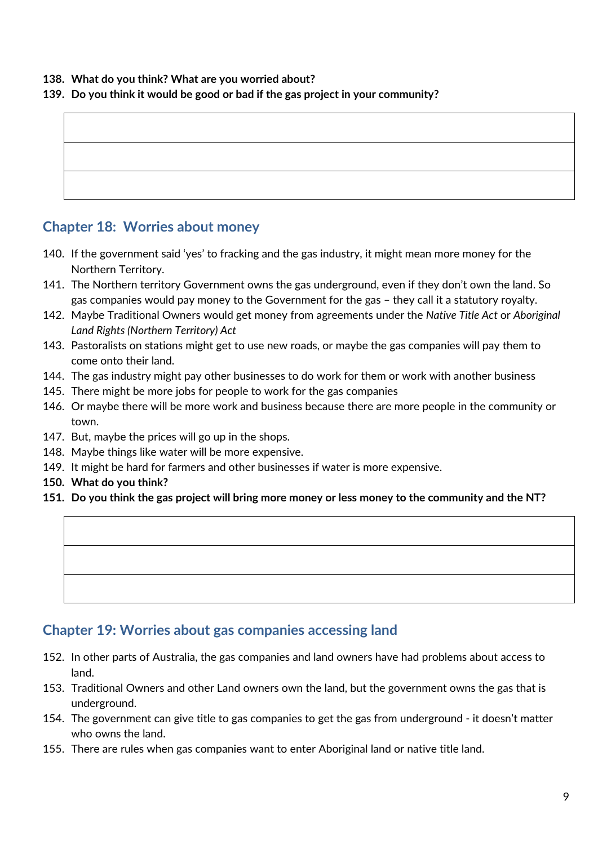#### **138. What do you think? What are you worried about?**

#### **139. Do you think it would be good or bad if the gas project in your community?**

#### **Chapter 18: Worries about money**

- 140. If the government said 'yes' to fracking and the gas industry, it might mean more money for the Northern Territory.
- 141. The Northern territory Government owns the gas underground, even if they don't own the land. So gas companies would pay money to the Government for the gas – they call it a statutory royalty.
- 142. Maybe Traditional Owners would get money from agreements under the *Native Title Act* or *Aboriginal Land Rights (Northern Territory) Act*
- 143. Pastoralists on stations might get to use new roads, or maybe the gas companies will pay them to come onto their land.
- 144. The gas industry might pay other businesses to do work for them or work with another business
- 145. There might be more jobs for people to work for the gas companies
- 146. Or maybe there will be more work and business because there are more people in the community or town.
- 147. But, maybe the prices will go up in the shops.
- 148. Maybe things like water will be more expensive.
- 149. It might be hard for farmers and other businesses if water is more expensive.
- **150. What do you think?**
- **151. Do you think the gas project will bring more money or less money to the community and the NT?**

#### **Chapter 19: Worries about gas companies accessing land**

- 152. In other parts of Australia, the gas companies and land owners have had problems about access to land.
- 153. Traditional Owners and other Land owners own the land, but the government owns the gas that is underground.
- 154. The government can give title to gas companies to get the gas from underground it doesn't matter who owns the land.
- 155. There are rules when gas companies want to enter Aboriginal land or native title land.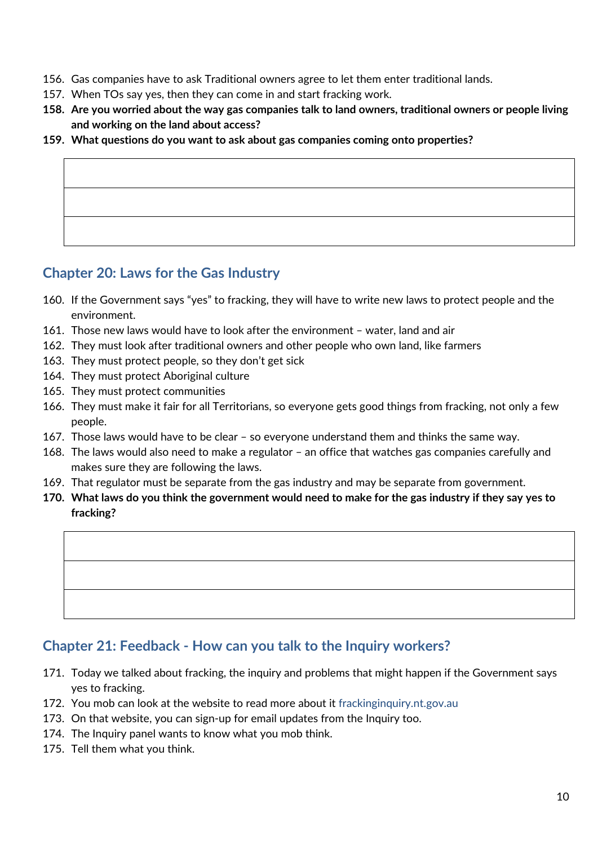- 156. Gas companies have to ask Traditional owners agree to let them enter traditional lands.
- 157. When TOs say yes, then they can come in and start fracking work.
- **158. Are you worried about the way gas companies talk to land owners, traditional owners or people living and working on the land about access?**
- **159. What questions do you want to ask about gas companies coming onto properties?**

#### **Chapter 20: Laws for the Gas Industry**

- 160. If the Government says "yes" to fracking, they will have to write new laws to protect people and the environment.
- 161. Those new laws would have to look after the environment water, land and air
- 162. They must look after traditional owners and other people who own land, like farmers
- 163. They must protect people, so they don't get sick
- 164. They must protect Aboriginal culture
- 165. They must protect communities
- 166. They must make it fair for all Territorians, so everyone gets good things from fracking, not only a few people.
- 167. Those laws would have to be clear so everyone understand them and thinks the same way.
- 168. The laws would also need to make a regulator an office that watches gas companies carefully and makes sure they are following the laws.
- 169. That regulator must be separate from the gas industry and may be separate from government.
- **170. What laws do you think the government would need to make for the gas industry if they say yes to fracking?**

#### **Chapter 21: Feedback - How can you talk to the Inquiry workers?**

- 171. Today we talked about fracking, the inquiry and problems that might happen if the Government says yes to fracking.
- 172. You mob can look at the website to read more about it [frackinginquiry.nt.gov.au](https://frackinginquiry.nt.gov.au/)
- 173. On that website, you can sign-up for email updates from the Inquiry too.
- 174. The Inquiry panel wants to know what you mob think.
- 175. Tell them what you think.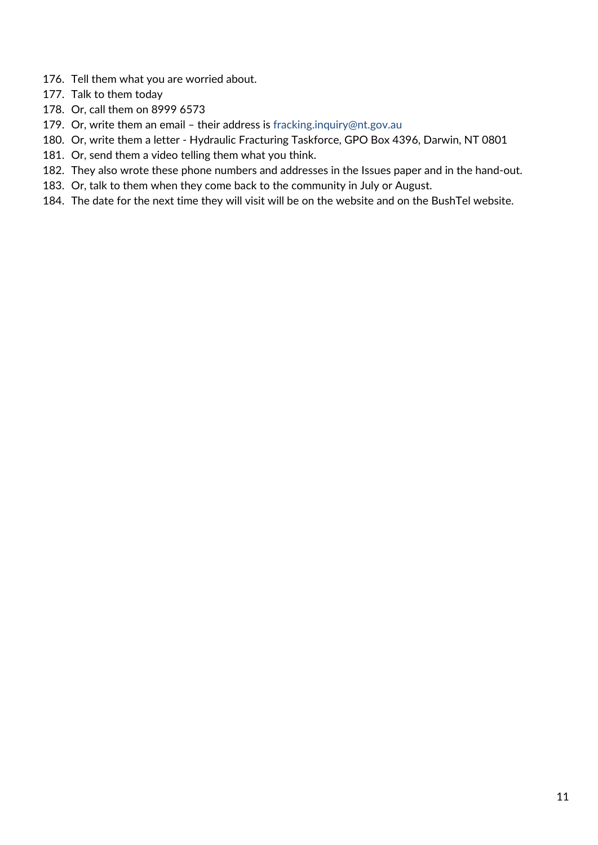- 176. Tell them what you are worried about.
- 177. Talk to them today
- 178. Or, call them on 8999 6573
- 179. Or, write them an email their address is [fracking.inquiry@nt.gov.au](mailto:fracking.inquiry@nt.gov.au)
- 180. Or, write them a letter Hydraulic Fracturing Taskforce, GPO Box 4396, Darwin, NT 0801
- 181. Or, send them a video telling them what you think.
- 182. They also wrote these phone numbers and addresses in the Issues paper and in the hand-out.
- 183. Or, talk to them when they come back to the community in July or August.
- 184. The date for the next time they will visit will be on the website and on the BushTel website.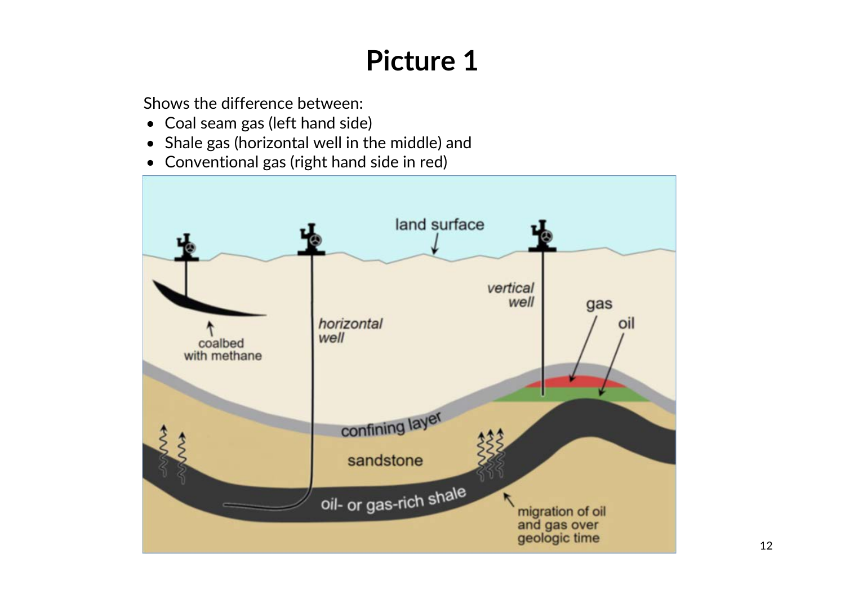Shows the difference between:

- Coal seam gas (left hand side)
- Shale gas (horizontal well in the middle) and
- Conventional gas (right hand side in red)

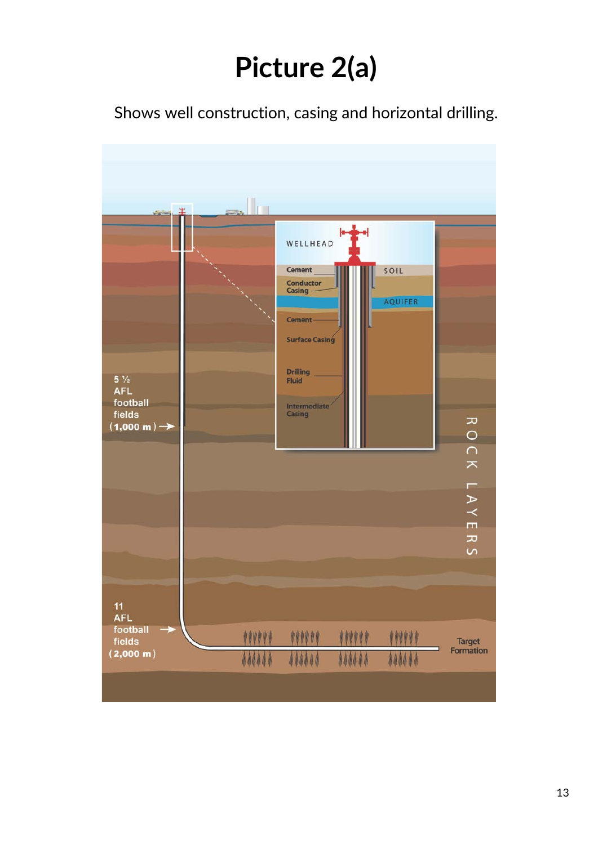# **Picture 2(a)**

Shows well construction, casing and horizontal drilling.

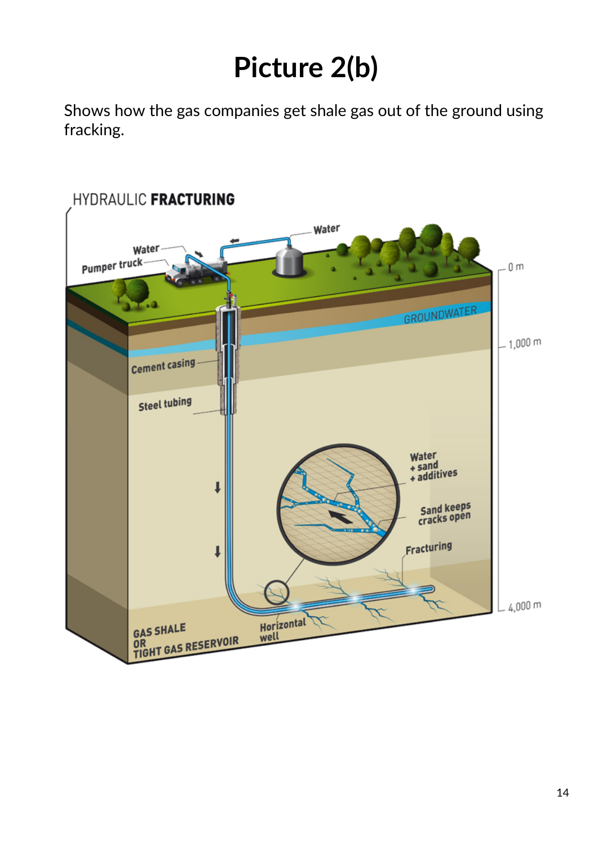# **Picture 2(b)**

Shows how the gas companies get shale gas out of the ground using fracking.

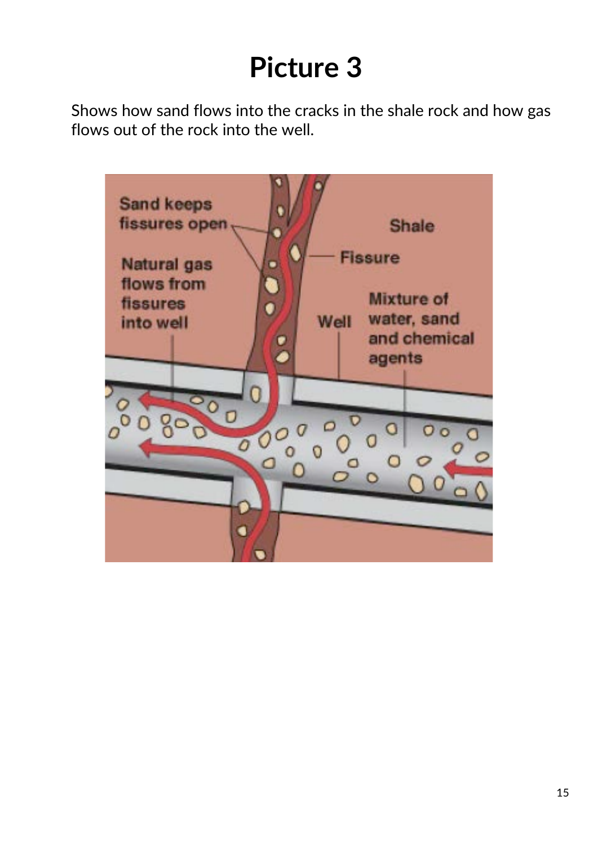Shows how sand flows into the cracks in the shale rock and how gas flows out of the rock into the well.

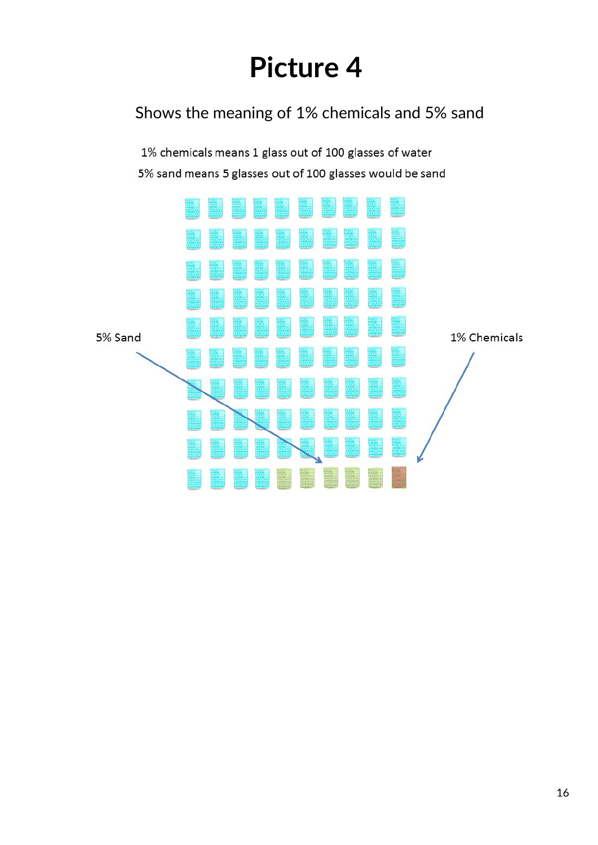### Shows the meaning of 1% chemicals and 5% sand

1% chemicals means 1 glass out of 100 glasses of water 5% sand means 5 glasses out of 100 glasses would be sand